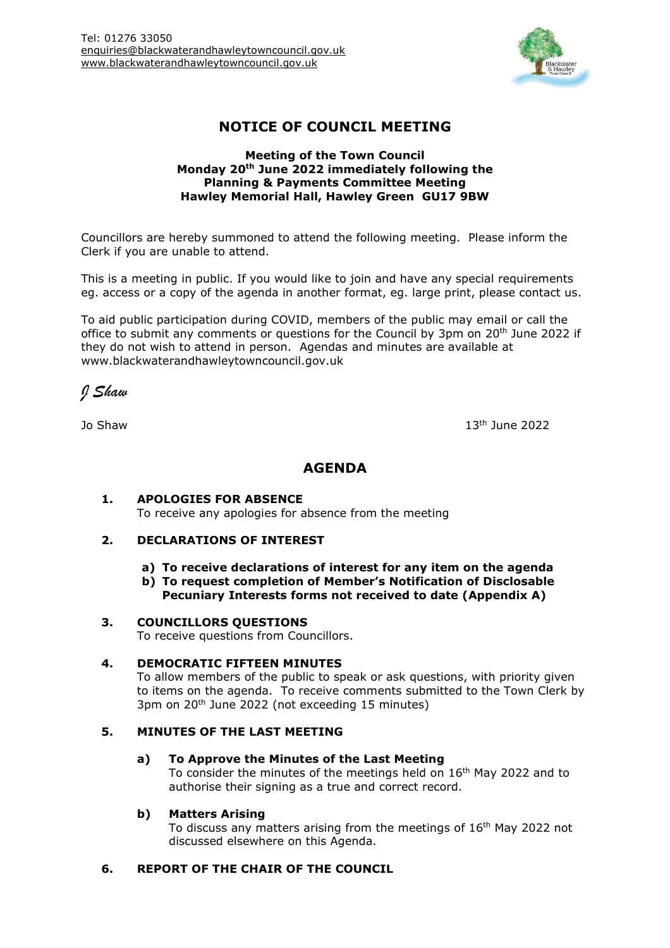

# **NOTICE OF COUNCIL MEETING**

#### **Meeting of the Town Council Monday 20th June 2022 immediately following the Planning & Payments Committee Meeting Hawley Memorial Hall, Hawley Green GU17 9BW**

Councillors are hereby summoned to attend the following meeting. Please inform the Clerk if you are unable to attend.

This is a meeting in public. If you would like to join and have any special requirements eg. access or a copy of the agenda in another format, eg. large print, please contact us.

To aid public participation during COVID, members of the public may email or call the office to submit any comments or questions for the Council by 3pm on 20<sup>th</sup> June 2022 if they do not wish to attend in person. Agendas and minutes are available at www.blackwaterandhawleytowncouncil.gov.uk

*J Shaw*

Jo Shaw 13

 $13<sup>th</sup>$  June 2022

## **AGENDA**

#### **1. APOLOGIES FOR ABSENCE** To receive any apologies for absence from the meeting

## **2. DECLARATIONS OF INTEREST**

- **a) To receive declarations of interest for any item on the agenda**
- **b) To request completion of Member's Notification of Disclosable Pecuniary Interests forms not received to date (Appendix A)**

#### **3. COUNCILLORS QUESTIONS**

To receive questions from Councillors.

## **4. DEMOCRATIC FIFTEEN MINUTES**

To allow members of the public to speak or ask questions, with priority given to items on the agenda. To receive comments submitted to the Town Clerk by 3pm on 20th June 2022 (not exceeding 15 minutes)

## **5. MINUTES OF THE LAST MEETING**

#### **a) To Approve the Minutes of the Last Meeting**

To consider the minutes of the meetings held on 16<sup>th</sup> May 2022 and to authorise their signing as a true and correct record.

## **b) Matters Arising**

To discuss any matters arising from the meetings of 16<sup>th</sup> May 2022 not discussed elsewhere on this Agenda.

## **6. REPORT OF THE CHAIR OF THE COUNCIL**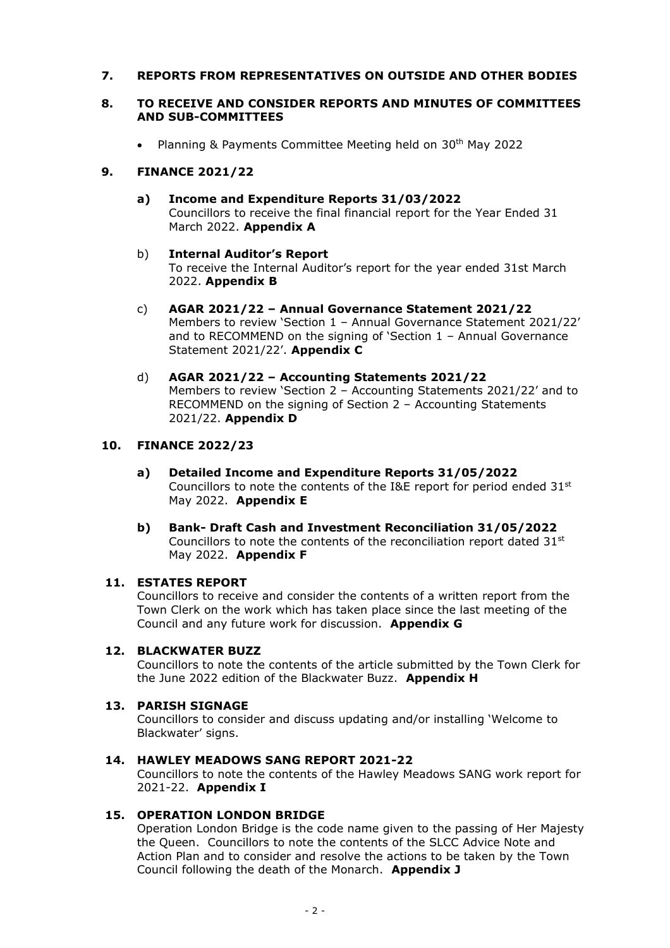## **7. REPORTS FROM REPRESENTATIVES ON OUTSIDE AND OTHER BODIES**

#### **8. TO RECEIVE AND CONSIDER REPORTS AND MINUTES OF COMMITTEES AND SUB-COMMITTEES**

• Planning & Payments Committee Meeting held on 30th May 2022

## **9. FINANCE 2021/22**

**a) Income and Expenditure Reports 31/03/2022** Councillors to receive the final financial report for the Year Ended 31 March 2022. **Appendix A**

#### b) **Internal Auditor's Report** To receive the Internal Auditor's report for the year ended 31st March 2022. **Appendix B**

- c) **AGAR 2021/22 – Annual Governance Statement 2021/22** Members to review 'Section 1 – Annual Governance Statement 2021/22' and to RECOMMEND on the signing of 'Section 1 – Annual Governance Statement 2021/22'. **Appendix C**
- d) **AGAR 2021/22 – Accounting Statements 2021/22** Members to review 'Section 2 – Accounting Statements 2021/22' and to RECOMMEND on the signing of Section 2 – Accounting Statements 2021/22. **Appendix D**

## **10. FINANCE 2022/23**

- **a) Detailed Income and Expenditure Reports 31/05/2022** Councillors to note the contents of the I&E report for period ended  $31<sup>st</sup>$ May 2022. **Appendix E**
- **b) Bank- Draft Cash and Investment Reconciliation 31/05/2022** Councillors to note the contents of the reconciliation report dated 31<sup>st</sup> May 2022. **Appendix F**

#### **11. ESTATES REPORT**

Councillors to receive and consider the contents of a written report from the Town Clerk on the work which has taken place since the last meeting of the Council and any future work for discussion. **Appendix G**

#### **12. BLACKWATER BUZZ**

Councillors to note the contents of the article submitted by the Town Clerk for the June 2022 edition of the Blackwater Buzz. **Appendix H**

#### **13. PARISH SIGNAGE**

Councillors to consider and discuss updating and/or installing 'Welcome to Blackwater' signs.

## **14. HAWLEY MEADOWS SANG REPORT 2021-22**

Councillors to note the contents of the Hawley Meadows SANG work report for 2021-22. **Appendix I**

## **15. OPERATION LONDON BRIDGE**

Operation London Bridge is the code name given to the passing of Her Majesty the Queen. Councillors to note the contents of the SLCC Advice Note and Action Plan and to consider and resolve the actions to be taken by the Town Council following the death of the Monarch. **Appendix J**